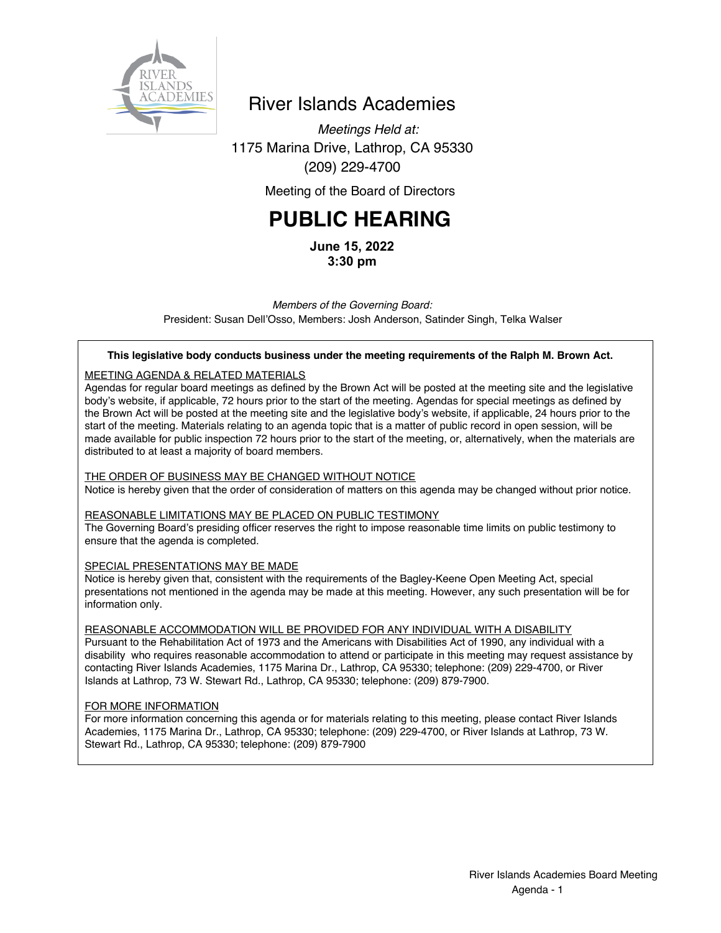

## River Islands Academies

*Meetings Held at:* 1175 Marina Drive, Lathrop, CA 95330 (209) 229-4700

Meeting of the Board of Directors

# **PUBLIC HEARING**

**June 15, 2022 3:30 pm**

*Members of the Governing Board:* President: Susan Dell'Osso, Members: Josh Anderson, Satinder Singh, Telka Walser

#### **This legislative body conducts business under the meeting requirements of the Ralph M. Brown Act.**

#### MEETING AGENDA & RELATED MATERIALS

Agendas for regular board meetings as defined by the Brown Act will be posted at the meeting site and the legislative body's website, if applicable, 72 hours prior to the start of the meeting. Agendas for special meetings as defined by the Brown Act will be posted at the meeting site and the legislative body's website, if applicable, 24 hours prior to the start of the meeting. Materials relating to an agenda topic that is a matter of public record in open session, will be made available for public inspection 72 hours prior to the start of the meeting, or, alternatively, when the materials are distributed to at least a majority of board members.

#### THE ORDER OF BUSINESS MAY BE CHANGED WITHOUT NOTICE

Notice is hereby given that the order of consideration of matters on this agenda may be changed without prior notice.

#### REASONABLE LIMITATIONS MAY BE PLACED ON PUBLIC TESTIMONY

The Governing Board's presiding officer reserves the right to impose reasonable time limits on public testimony to ensure that the agenda is completed.

#### SPECIAL PRESENTATIONS MAY BE MADE

Notice is hereby given that, consistent with the requirements of the Bagley-Keene Open Meeting Act, special presentations not mentioned in the agenda may be made at this meeting. However, any such presentation will be for information only.

#### REASONABLE ACCOMMODATION WILL BE PROVIDED FOR ANY INDIVIDUAL WITH A DISABILITY

Pursuant to the Rehabilitation Act of 1973 and the Americans with Disabilities Act of 1990, any individual with a disability who requires reasonable accommodation to attend or participate in this meeting may request assistance by contacting River Islands Academies, 1175 Marina Dr., Lathrop, CA 95330; telephone: (209) 229-4700, or River Islands at Lathrop, 73 W. Stewart Rd., Lathrop, CA 95330; telephone: (209) 879-7900.

#### FOR MORE INFORMATION

For more information concerning this agenda or for materials relating to this meeting, please contact River Islands Academies, 1175 Marina Dr., Lathrop, CA 95330; telephone: (209) 229-4700, or River Islands at Lathrop, 73 W. Stewart Rd., Lathrop, CA 95330; telephone: (209) 879-7900